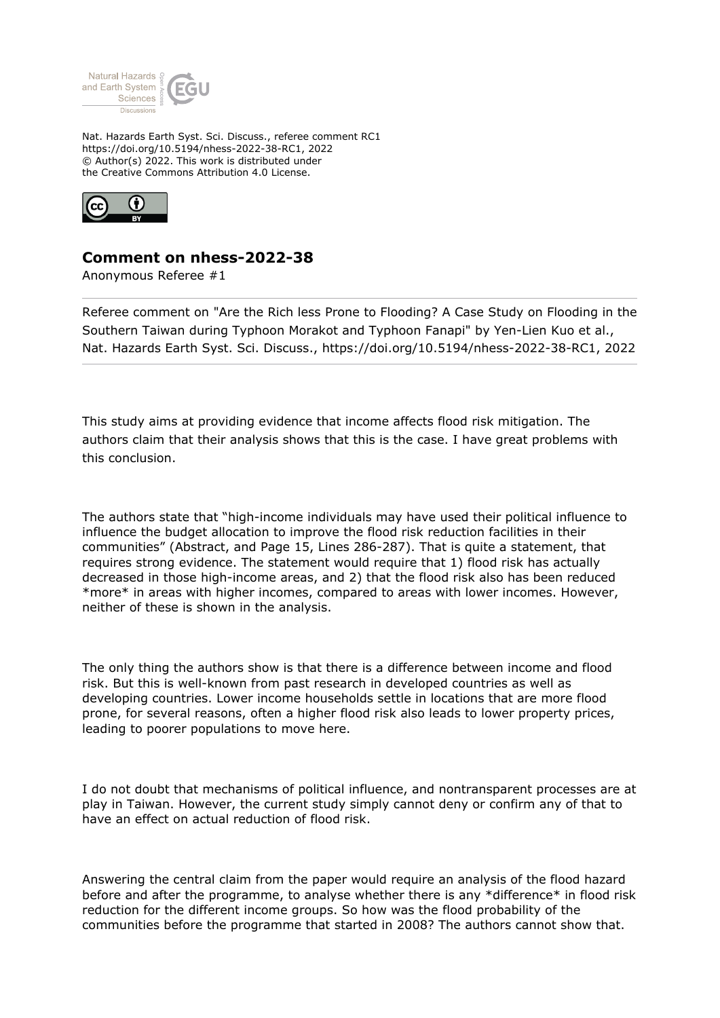

Nat. Hazards Earth Syst. Sci. Discuss., referee comment RC1 https://doi.org/10.5194/nhess-2022-38-RC1, 2022 © Author(s) 2022. This work is distributed under the Creative Commons Attribution 4.0 License.



## **Comment on nhess-2022-38**

Anonymous Referee #1

Referee comment on "Are the Rich less Prone to Flooding? A Case Study on Flooding in the Southern Taiwan during Typhoon Morakot and Typhoon Fanapi" by Yen-Lien Kuo et al., Nat. Hazards Earth Syst. Sci. Discuss., https://doi.org/10.5194/nhess-2022-38-RC1, 2022

This study aims at providing evidence that income affects flood risk mitigation. The authors claim that their analysis shows that this is the case. I have great problems with this conclusion.

The authors state that "high-income individuals may have used their political influence to influence the budget allocation to improve the flood risk reduction facilities in their communities" (Abstract, and Page 15, Lines 286-287). That is quite a statement, that requires strong evidence. The statement would require that 1) flood risk has actually decreased in those high-income areas, and 2) that the flood risk also has been reduced \*more\* in areas with higher incomes, compared to areas with lower incomes. However, neither of these is shown in the analysis.

The only thing the authors show is that there is a difference between income and flood risk. But this is well-known from past research in developed countries as well as developing countries. Lower income households settle in locations that are more flood prone, for several reasons, often a higher flood risk also leads to lower property prices, leading to poorer populations to move here.

I do not doubt that mechanisms of political influence, and nontransparent processes are at play in Taiwan. However, the current study simply cannot deny or confirm any of that to have an effect on actual reduction of flood risk.

Answering the central claim from the paper would require an analysis of the flood hazard before and after the programme, to analyse whether there is any \*difference\* in flood risk reduction for the different income groups. So how was the flood probability of the communities before the programme that started in 2008? The authors cannot show that.